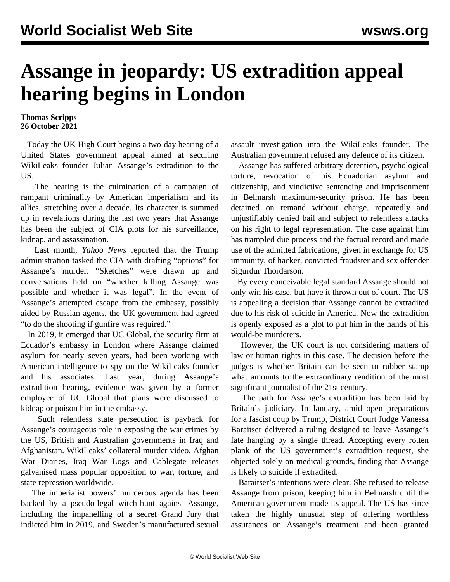## **Assange in jeopardy: US extradition appeal hearing begins in London**

## **Thomas Scripps 26 October 2021**

 Today the UK High Court begins a two-day hearing of a United States government appeal aimed at securing WikiLeaks founder Julian Assange's extradition to the US.

 The hearing is the culmination of a campaign of rampant criminality by American imperialism and its allies, stretching over a decade. Its character is summed up in revelations during the last two years that Assange has been the subject of CIA plots for his surveillance, kidnap, and assassination.

 Last month, *Yahoo News* reported that the Trump administration tasked the CIA with drafting "options" for Assange's murder. "Sketches" were drawn up and conversations held on "whether killing Assange was possible and whether it was legal". In the event of Assange's attempted escape from the embassy, possibly aided by Russian agents, the UK government had agreed "to do the shooting if gunfire was required."

 In 2019, it emerged that UC Global, the security firm at Ecuador's embassy in London where Assange claimed asylum for nearly seven years, had been working with American intelligence to spy on the WikiLeaks founder and his associates. Last year, during Assange's extradition hearing, evidence was given by a former employee of UC Global that plans were discussed to kidnap or poison him in the embassy.

 Such relentless state persecution is payback for Assange's courageous role in exposing the war crimes by the US, British and Australian governments in Iraq and Afghanistan. WikiLeaks' collateral murder video, Afghan War Diaries, Iraq War Logs and Cablegate releases galvanised mass popular opposition to war, torture, and state repression worldwide.

 The imperialist powers' murderous agenda has been backed by a pseudo-legal witch-hunt against Assange, including the impanelling of a secret Grand Jury that indicted him in 2019, and Sweden's manufactured sexual

assault investigation into the WikiLeaks founder. The Australian government refused any defence of its citizen.

 Assange has suffered arbitrary detention, psychological torture, revocation of his Ecuadorian asylum and citizenship, and vindictive sentencing and imprisonment in Belmarsh maximum-security prison. He has been detained on remand without charge, repeatedly and unjustifiably denied bail and subject to relentless attacks on his right to legal representation. The case against him has trampled due process and the factual record and made use of the admitted fabrications, given in exchange for US immunity, of hacker, convicted fraudster and sex offender Sigurdur Thordarson.

 By every conceivable legal standard Assange should not only win his case, but have it thrown out of court. The US is appealing a decision that Assange cannot be extradited due to his risk of suicide in America. Now the extradition is openly exposed as a plot to put him in the hands of his would-be murderers.

 However, the UK court is not considering matters of law or human rights in this case. The decision before the judges is whether Britain can be seen to rubber stamp what amounts to the extraordinary rendition of the most significant journalist of the 21st century.

 The path for Assange's extradition has been laid by Britain's judiciary. In January, amid open preparations for a fascist coup by Trump, District Court Judge Vanessa Baraitser delivered a ruling designed to leave Assange's fate hanging by a single thread. Accepting every rotten plank of the US government's extradition request, she objected solely on medical grounds, finding that Assange is likely to suicide if extradited.

 Baraitser's intentions were clear. She refused to release Assange from prison, keeping him in Belmarsh until the American government made its appeal. The US has since taken the highly unusual step of offering worthless assurances on Assange's treatment and been granted